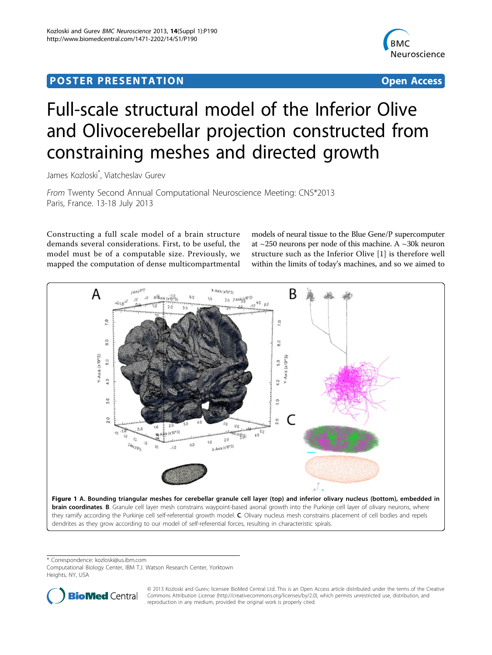## <span id="page-0-0"></span>Post Experimental Police in the St English Police in the St English Police in the St English Police in the St<br>Police in the St English Police in the St English Police in the St English Police in the St English Police in



# Full-scale structural model of the Inferior Olive and Olivocerebellar projection constructed from constraining meshes and directed growth

James Kozloski\* , Viatcheslav Gurev

From Twenty Second Annual Computational Neuroscience Meeting: CNS\*2013 Paris, France. 13-18 July 2013

Constructing a full scale model of a brain structure demands several considerations. First, to be useful, the model must be of a computable size. Previously, we mapped the computation of dense multicompartmental

models of neural tissue to the Blue Gene/P supercomputer at  $\sim$ 250 neurons per node of this machine. A  $\sim$ 30k neuron structure such as the Inferior Olive [[1\]](#page-1-0) is therefore well within the limits of today's machines, and so we aimed to



\* Correspondence: [kozloski@us.ibm.com](mailto:kozloski@us.ibm.com)

Computational Biology Center, IBM T.J. Watson Research Center, Yorktown Heights, NY, USA



© 2013 Kozloski and Gurev; licensee BioMed Central Ltd. This is an Open Access article distributed under the terms of the Creative Commons Attribution License [\(http://creativecommons.org/licenses/by/2.0](http://creativecommons.org/licenses/by/2.0)), which permits unrestricted use, distribution, and reproduction in any medium, provided the original work is properly cited.